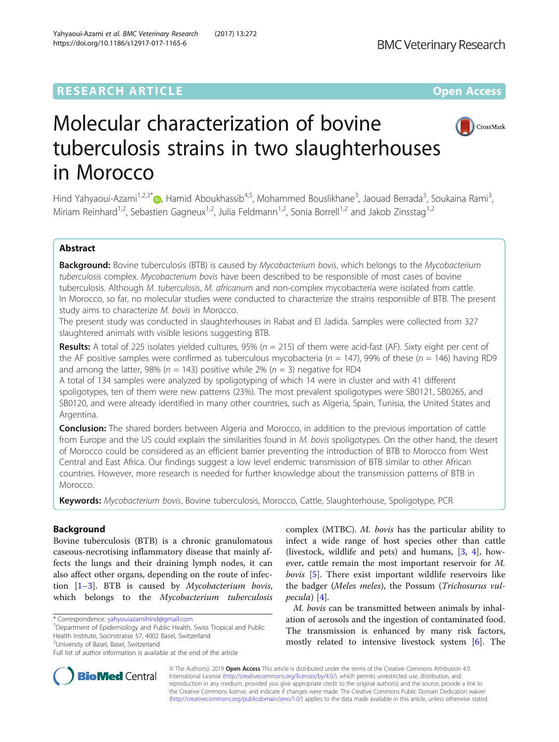# **RESEARCH ARTICLE Example 2018 12:00 Department of the CONNECTION CONNECTION CONNECTION CONNECTION CONNECTION**

# Molecular characterization of bovine tuberculosis strains in two slaughterhouses in Morocco

Hind Yahyaoui-Azami<sup>1,2,3[\\*](http://orcid.org/0000-0001-7877-4223)</sup>®, Hamid Aboukhassib<sup>4,5</sup>, Mohammed Bouslikhane<sup>3</sup>, Jaouad Berrada<sup>3</sup>, Soukaina Rami<sup>3</sup> , Miriam Reinhard<sup>1,2</sup>, Sebastien Gagneux<sup>1,2</sup>, Julia Feldmann<sup>1,2</sup>, Sonia Borrell<sup>1,2</sup> and Jakob Zinsstag<sup>1,2</sup>

# Abstract

Background: Bovine tuberculosis (BTB) is caused by Mycobacterium bovis, which belongs to the Mycobacterium tuberculosis complex. Mycobacterium bovis have been described to be responsible of most cases of bovine tuberculosis. Although M. tuberculosis, M. africanum and non-complex mycobacteria were isolated from cattle. In Morocco, so far, no molecular studies were conducted to characterize the strains responsible of BTB. The present study aims to characterize M. bovis in Morocco.

The present study was conducted in slaughterhouses in Rabat and El Jadida. Samples were collected from 327 slaughtered animals with visible lesions suggesting BTB.

Results: A total of 225 isolates yielded cultures, 95% ( $n = 215$ ) of them were acid-fast (AF). Sixty eight per cent of the AF positive samples were confirmed as tuberculous mycobacteria ( $n = 147$ ), 99% of these ( $n = 146$ ) having RD9 and among the latter, 98% ( $n = 143$ ) positive while 2% ( $n = 3$ ) negative for RD4

A total of 134 samples were analyzed by spoligotyping of which 14 were in cluster and with 41 different spoligotypes, ten of them were new patterns (23%). The most prevalent spoligotypes were SB0121, SB0265, and SB0120, and were already identified in many other countries, such as Algeria, Spain, Tunisia, the United States and Argentina.

Conclusion: The shared borders between Algeria and Morocco, in addition to the previous importation of cattle from Europe and the US could explain the similarities found in M. bovis spoligotypes. On the other hand, the desert of Morocco could be considered as an efficient barrier preventing the introduction of BTB to Morocco from West Central and East Africa. Our findings suggest a low level endemic transmission of BTB similar to other African countries. However, more research is needed for further knowledge about the transmission patterns of BTB in Morocco.

Keywords: Mycobacterium bovis, Bovine tuberculosis, Morocco, Cattle, Slaughterhouse, Spoligotype, PCR

# **Background**

Bovine tuberculosis (BTB) is a chronic granulomatous caseous-necrotising inflammatory disease that mainly affects the lungs and their draining lymph nodes, it can also affect other organs, depending on the route of infection  $[1-3]$  $[1-3]$  $[1-3]$  $[1-3]$  $[1-3]$ . BTB is caused by *Mycobacterium bovis*, which belongs to the Mycobacterium tuberculosis

<sup>1</sup>Department of Epidemiology and Public Health, Swiss Tropical and Public Health Institute, Socinstrasse 57, 4002 Basel, Switzerland <sup>2</sup>University of Basel, Basel, Switzerland

complex (MTBC). M. bovis has the particular ability to infect a wide range of host species other than cattle (livestock, wildlife and pets) and humans, [[3,](#page-5-0) [4\]](#page-5-0), however, cattle remain the most important reservoir for M. bovis [[5\]](#page-5-0). There exist important wildlife reservoirs like the badger (Meles meles), the Possum (Trichosurus vulpecula) [[4](#page-5-0)].

M. bovis can be transmitted between animals by inhalation of aerosols and the ingestion of contaminated food. The transmission is enhanced by many risk factors, mostly related to intensive livestock system [\[6](#page-5-0)]. The

© The Author(s). 2019 Open Access This article is distributed under the terms of the Creative Commons Attribution 4.0 International License [\(http://creativecommons.org/licenses/by/4.0/](http://creativecommons.org/licenses/by/4.0/)), which permits unrestricted use, distribution, and reproduction in any medium, provided you give appropriate credit to the original author(s) and the source, provide a link to the Creative Commons license, and indicate if changes were made. The Creative Commons Public Domain Dedication waiver [\(http://creativecommons.org/publicdomain/zero/1.0/](http://creativecommons.org/publicdomain/zero/1.0/)) applies to the data made available in this article, unless otherwise stated.





<sup>\*</sup> Correspondence: [yahyouiazamihind@gmail.com](mailto:yahyouiazamihind@gmail.com) <sup>1</sup>

Full list of author information is available at the end of the article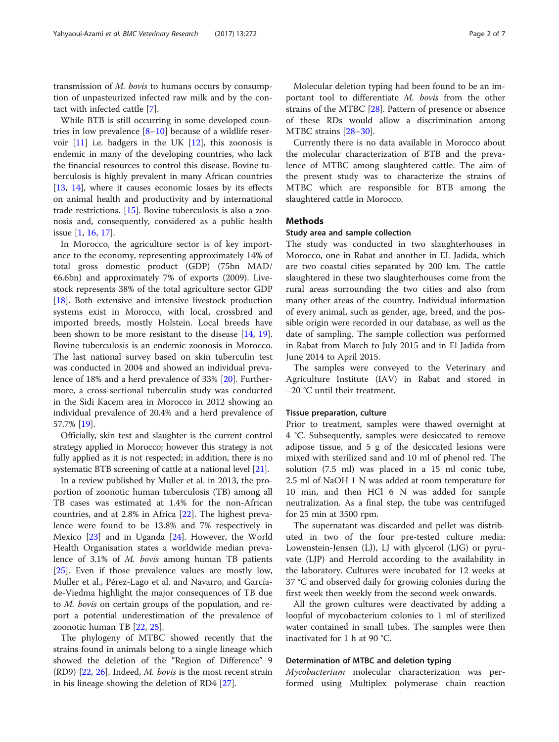transmission of M. bovis to humans occurs by consumption of unpasteurized infected raw milk and by the contact with infected cattle [\[7](#page-5-0)].

While BTB is still occurring in some developed countries in low prevalence [[8](#page-5-0)–[10\]](#page-5-0) because of a wildlife reservoir  $[11]$  $[11]$  i.e. badgers in the UK  $[12]$ , this zoonosis is endemic in many of the developing countries, who lack the financial resources to control this disease. Bovine tuberculosis is highly prevalent in many African countries [[13,](#page-5-0) [14](#page-5-0)], where it causes economic losses by its effects on animal health and productivity and by international trade restrictions. [[15\]](#page-5-0). Bovine tuberculosis is also a zoonosis and, consequently, considered as a public health issue [[1,](#page-5-0) [16](#page-5-0), [17](#page-6-0)].

In Morocco, the agriculture sector is of key importance to the economy, representing approximately 14% of total gross domestic product (GDP) (75bn MAD/  $\epsilon$ 6.6bn) and approximately 7% of exports (2009). Livestock represents 38% of the total agriculture sector GDP [[18\]](#page-6-0). Both extensive and intensive livestock production systems exist in Morocco, with local, crossbred and imported breeds, mostly Holstein. Local breeds have been shown to be more resistant to the disease [[14,](#page-5-0) [19](#page-6-0)]. Bovine tuberculosis is an endemic zoonosis in Morocco. The last national survey based on skin tuberculin test was conducted in 2004 and showed an individual prevalence of 18% and a herd prevalence of 33% [\[20](#page-6-0)]. Furthermore, a cross-sectional tuberculin study was conducted in the Sidi Kacem area in Morocco in 2012 showing an individual prevalence of 20.4% and a herd prevalence of 57.7% [[19](#page-6-0)].

Officially, skin test and slaughter is the current control strategy applied in Morocco; however this strategy is not fully applied as it is not respected; in addition, there is no systematic BTB screening of cattle at a national level [\[21\]](#page-6-0).

In a review published by Muller et al. in 2013, the proportion of zoonotic human tuberculosis (TB) among all TB cases was estimated at 1.4% for the non-African countries, and at 2.8% in Africa [\[22\]](#page-6-0). The highest prevalence were found to be 13.8% and 7% respectively in Mexico [[23\]](#page-6-0) and in Uganda [[24](#page-6-0)]. However, the World Health Organisation states a worldwide median prevalence of 3.1% of M. bovis among human TB patients [[25\]](#page-6-0). Even if those prevalence values are mostly low, Muller et al., Pérez-Lago et al. and Navarro, and Garcíade-Viedma highlight the major consequences of TB due to M. bovis on certain groups of the population, and report a potential underestimation of the prevalence of zoonotic human TB [[22,](#page-6-0) [25\]](#page-6-0).

The phylogeny of MTBC showed recently that the strains found in animals belong to a single lineage which showed the deletion of the "Region of Difference" 9  $(RD9)$  [\[22](#page-6-0), [26](#page-6-0)]. Indeed, *M. bovis* is the most recent strain in his lineage showing the deletion of RD4 [[27\]](#page-6-0).

Molecular deletion typing had been found to be an important tool to differentiate M. bovis from the other strains of the MTBC [\[28\]](#page-6-0). Pattern of presence or absence of these RDs would allow a discrimination among MTBC strains [[28](#page-6-0)–[30](#page-6-0)].

Currently there is no data available in Morocco about the molecular characterization of BTB and the prevalence of MTBC among slaughtered cattle. The aim of the present study was to characterize the strains of MTBC which are responsible for BTB among the slaughtered cattle in Morocco.

## Methods

# Study area and sample collection

The study was conducted in two slaughterhouses in Morocco, one in Rabat and another in EL Jadida, which are two coastal cities separated by 200 km. The cattle slaughtered in these two slaughterhouses come from the rural areas surrounding the two cities and also from many other areas of the country. Individual information of every animal, such as gender, age, breed, and the possible origin were recorded in our database, as well as the date of sampling. The sample collection was performed in Rabat from March to July 2015 and in El Jadida from June 2014 to April 2015.

The samples were conveyed to the Veterinary and Agriculture Institute (IAV) in Rabat and stored in −20 °C until their treatment.

## Tissue preparation, culture

Prior to treatment, samples were thawed overnight at 4 °C. Subsequently, samples were desiccated to remove adipose tissue, and 5 g of the desiccated lesions were mixed with sterilized sand and 10 ml of phenol red. The solution (7.5 ml) was placed in a 15 ml conic tube, 2.5 ml of NaOH 1 N was added at room temperature for 10 min, and then HCl 6 N was added for sample neutralization. As a final step, the tube was centrifuged for 25 min at 3500 rpm.

The supernatant was discarded and pellet was distributed in two of the four pre-tested culture media: Lowenstein-Jensen (LJ), LJ with glycerol (LJG) or pyruvate (LJP) and Herrold according to the availability in the laboratory. Cultures were incubated for 12 weeks at 37 °C and observed daily for growing colonies during the first week then weekly from the second week onwards.

All the grown cultures were deactivated by adding a loopful of mycobacterium colonies to 1 ml of sterilized water contained in small tubes. The samples were then inactivated for 1 h at 90 °C.

# Determination of MTBC and deletion typing

Mycobacterium molecular characterization was performed using Multiplex polymerase chain reaction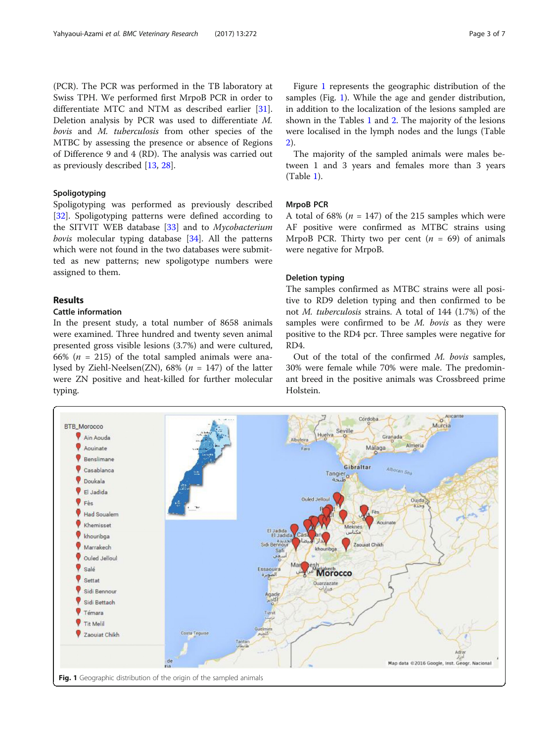(PCR). The PCR was performed in the TB laboratory at Swiss TPH. We performed first MrpoB PCR in order to differentiate MTC and NTM as described earlier [\[31](#page-6-0)]. Deletion analysis by PCR was used to differentiate M. bovis and M. tuberculosis from other species of the MTBC by assessing the presence or absence of Regions of Difference 9 and 4 (RD). The analysis was carried out as previously described [\[13,](#page-5-0) [28\]](#page-6-0).

# Spoligotyping

Spoligotyping was performed as previously described [[32\]](#page-6-0). Spoligotyping patterns were defined according to the SITVIT WEB database [[33\]](#page-6-0) and to Mycobacterium *bovis* molecular typing database  $[34]$  $[34]$ . All the patterns which were not found in the two databases were submitted as new patterns; new spoligotype numbers were assigned to them.

# Results

# Cattle information

In the present study, a total number of 8658 animals were examined. Three hundred and twenty seven animal presented gross visible lesions (3.7%) and were cultured, 66% ( $n = 215$ ) of the total sampled animals were analysed by Ziehl-Neelsen(ZN), 68% ( $n = 147$ ) of the latter were ZN positive and heat-killed for further molecular typing.

Figure 1 represents the geographic distribution of the samples (Fig. 1). While the age and gender distribution, in addition to the localization of the lesions sampled are shown in the Tables [1](#page-3-0) and [2](#page-3-0). The majority of the lesions were localised in the lymph nodes and the lungs (Table [2\)](#page-3-0).

The majority of the sampled animals were males between 1 and 3 years and females more than 3 years (Table [1\)](#page-3-0).

# MrpoB PCR

A total of 68% ( $n = 147$ ) of the 215 samples which were AF positive were confirmed as MTBC strains using MrpoB PCR. Thirty two per cent  $(n = 69)$  of animals were negative for MrpoB.

# Deletion typing

The samples confirmed as MTBC strains were all positive to RD9 deletion typing and then confirmed to be not M. tuberculosis strains. A total of 144 (1.7%) of the samples were confirmed to be  $M$ . bovis as they were positive to the RD4 pcr. Three samples were negative for RD4.

Out of the total of the confirmed M. bovis samples, 30% were female while 70% were male. The predominant breed in the positive animals was Crossbreed prime Holstein.

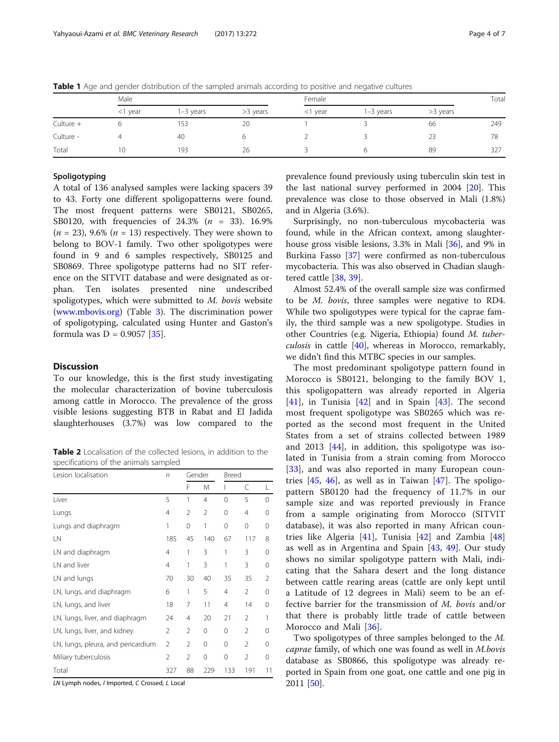|             | Male       |             |            | Female     | Total       |            |     |
|-------------|------------|-------------|------------|------------|-------------|------------|-----|
|             | $<$ 1 year | $1-3$ years | $>3$ years | $<$ 1 year | $1-3$ years | $>3$ years |     |
| Culture $+$ |            | 153         | 20         |            |             | 66         | 249 |
| Culture -   |            | 40          |            |            |             | 23         | 78  |
| Total       | 10         | 193         | 26         |            |             | 89         | 327 |

<span id="page-3-0"></span>Table 1 Age and gender distribution of the sampled animals according to positive and negative cultures

#### Spoligotyping

A total of 136 analysed samples were lacking spacers 39 to 43. Forty one different spoligopatterns were found. The most frequent patterns were SB0121, SB0265, SB0120, with frequencies of 24.3% ( $n = 33$ ). 16.9%  $(n = 23)$ , 9.6%  $(n = 13)$  respectively. They were shown to belong to BOV-1 family. Two other spoligotypes were found in 9 and 6 samples respectively, SB0125 and SB0869. Three spoligotype patterns had no SIT reference on the SITVIT database and were designated as orphan. Ten isolates presented nine undescribed spoligotypes, which were submitted to M. bovis website ([www.mbovis.org](http://www.mbovis.org)) (Table [3\)](#page-4-0). The discrimination power of spoligotyping, calculated using Hunter and Gaston's formula was D = 0.9057 [\[35](#page-6-0)].

# Discussion

To our knowledge, this is the first study investigating the molecular characterization of bovine tuberculosis among cattle in Morocco. The prevalence of the gross visible lesions suggesting BTB in Rabat and El Jadida slaughterhouses (3.7%) was low compared to the

**Table 2** Localisation of the collected lesions, in addition to the specifications of the animals sampled

| Lesion localisation                | n              | Gender |                | Breed    |                |                |
|------------------------------------|----------------|--------|----------------|----------|----------------|----------------|
|                                    |                | F      | M              |          | C              |                |
| Liver                              | 5              | 1      | $\overline{4}$ | $\Omega$ | 5              | $\Omega$       |
| Lungs                              | 4              | 2      | $\overline{2}$ | $\Omega$ | 4              | $\Omega$       |
| Lungs and diaphragm                | 1              | 0      | 1              | 0        | $\Omega$       | $\Omega$       |
| LN                                 | 185            | 45     | 140            | 67       | 117            | 8              |
| LN and diaphragm                   | 4              | 1      | 3              | 1        | 3              | $\Omega$       |
| LN and liver                       | $\overline{4}$ | 1      | 3              | 1        | 3              | $\Omega$       |
| LN and lungs                       | 70             | 30     | 40             | 35       | 35             | $\mathfrak{D}$ |
| LN, lungs, and diaphragm           | 6              | 1      | 5              | 4        | 2              | 0              |
| LN, lungs, and liver               | 18             | 7      | 11             | 4        | 14             | $\Omega$       |
| LN, lungs, liver, and diaphragm    | 24             | 4      | 20             | 21       | $\mathfrak{D}$ | 1              |
| LN, lungs, liver, and kidney       | $\mathfrak{D}$ | 2      | 0              | 0        | $\mathfrak{D}$ | $\Omega$       |
| LN, lungs, pleura, and pericardium | $\mathfrak{D}$ | 2      | $\Omega$       | $\Omega$ | $\mathfrak{D}$ | 0              |
| Miliary tuberculosis               | 2              | 2      | $\Omega$       | 0        | $\mathfrak{D}$ | $\Omega$       |
| Total                              | 327            | 88     | 229            | 133      | 191            | 11             |

LN Lymph nodes, I Imported, C Crossed, L Local

prevalence found previously using tuberculin skin test in the last national survey performed in 2004 [\[20\]](#page-6-0). This prevalence was close to those observed in Mali (1.8%) and in Algeria (3.6%).

Surprisingly, no non-tuberculous mycobacteria was found, while in the African context, among slaughterhouse gross visible lesions, 3.3% in Mali [\[36\]](#page-6-0), and 9% in Burkina Fasso [[37\]](#page-6-0) were confirmed as non-tuberculous mycobacteria. This was also observed in Chadian slaughtered cattle [[38,](#page-6-0) [39](#page-6-0)].

Almost 52.4% of the overall sample size was confirmed to be M. bovis, three samples were negative to RD4. While two spoligotypes were typical for the caprae family, the third sample was a new spoligotype. Studies in other Countries (e.g. Nigeria, Ethiopia) found M. tuberculosis in cattle [[40\]](#page-6-0), whereas in Morocco, remarkably, we didn't find this MTBC species in our samples.

The most predominant spoligotype pattern found in Morocco is SB0121, belonging to the family BOV 1, this spoligopattern was already reported in Algeria [[41\]](#page-6-0), in Tunisia [\[42](#page-6-0)] and in Spain [[43\]](#page-6-0). The second most frequent spoligotype was SB0265 which was reported as the second most frequent in the United States from a set of strains collected between 1989 and 2013 [[44\]](#page-6-0), in addition, this spoligotype was isolated in Tunisia from a strain coming from Morocco [[33\]](#page-6-0), and was also reported in many European countries [\[45](#page-6-0), [46](#page-6-0)], as well as in Taiwan [\[47\]](#page-6-0). The spoligopattern SB0120 had the frequency of 11.7% in our sample size and was reported previously in France from a sample originating from Morocco (SITVIT database), it was also reported in many African countries like Algeria [\[41](#page-6-0)], Tunisia [[42\]](#page-6-0) and Zambia [\[48](#page-6-0)] as well as in Argentina and Spain [[43](#page-6-0), [49](#page-6-0)]. Our study shows no similar spoligotype pattern with Mali, indicating that the Sahara desert and the long distance between cattle rearing areas (cattle are only kept until a Latitude of 12 degrees in Mali) seem to be an effective barrier for the transmission of M. bovis and/or that there is probably little trade of cattle between Morocco and Mali [[36\]](#page-6-0).

Two spoligotypes of three samples belonged to the M. caprae family, of which one was found as well in M.bovis database as SB0866, this spoligotype was already reported in Spain from one goat, one cattle and one pig in 2011 [\[50](#page-6-0)].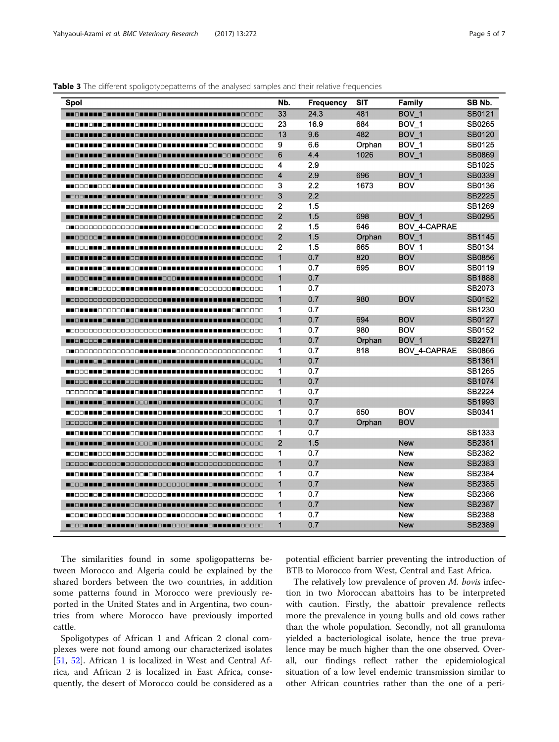<span id="page-4-0"></span>Table 3 The different spoligotypepatterns of the analysed samples and their relative frequencies

| Spol                                                                             | Nb.            | <b>Frequency</b> | <b>SIT</b> | Family              | SB <sub>Nb.</sub> |
|----------------------------------------------------------------------------------|----------------|------------------|------------|---------------------|-------------------|
|                                                                                  | 33             | 24.3             | 481        | BOV <sub>1</sub>    | SB0121            |
| 00000                                                                            | 23             | 16.9             | 684        | BOV <sub>1</sub>    | SB0265            |
|                                                                                  | 13             | 9.6              | 482        | BOV_1               | <b>SB0120</b>     |
| <b>__________</b> ____                                                           | 9              | 6.6              | Orphan     | BOV <sub>1</sub>    | SB0125            |
|                                                                                  | 6              | 4.4              | 1026       | BOV <sub>1</sub>    | <b>SB0869</b>     |
| <b>________________</b><br>----------------------                                | 4              | 2.9              |            |                     | SB1025            |
| <u> FERDELIN ER DEL FERDELIN BERLIN BROGH FERDELIN BROGHOL</u>                   | $\overline{4}$ | 2.9              | 696        | BOV <sub>1</sub>    | SB0339            |
| <b>__________________</b> _                                                      | 3              | 2.2              | 1673       | <b>BOV</b>          | SB0136            |
|                                                                                  | 3              | 2.2              |            |                     | <b>SB2225</b>     |
| <u> 2 2 3 2 2 2 2 3 3 3 4 5 6 6 7 8 8 7 8 8 7 8 8 7 8</u><br><b>_______</b> ____ | $\overline{2}$ | 1.5              |            |                     | SB1269            |
|                                                                                  | $\overline{2}$ | 1.5              | 698        | BOV <sub>1</sub>    | <b>SB0295</b>     |
|                                                                                  | $\overline{2}$ | 1.5              | 646        | BOV 4-CAPRAE        |                   |
| <u> FERDARA BERTIKLI RIK INDALIK RADARIK TIKLIK RADARA</u>                       | $\overline{2}$ | 1.5              | Orphan     | BOV <sub>1</sub>    | <b>SB1145</b>     |
| ----------------------<br><b>______</b> _____                                    | 2              | 1.5              | 665        | BOV <sub>1</sub>    | SB0134            |
| <b>ENCERTED CENTER CONTENTERED EN EN EN EN EN EN EL DOCCOCO</b>                  | $\mathbf{1}$   | 0.7              | 820        | <b>BOV</b>          | <b>SB0856</b>     |
| ----------------------------                                                     | 1              | 0.7              | 695        | <b>BOV</b>          | SB0119            |
|                                                                                  | $\mathbf{1}$   | 0.7              |            |                     | <b>SB1888</b>     |
|                                                                                  | 1              | 0.7              |            |                     | SB2073            |
|                                                                                  | $\mathbf{1}$   | 0.7              | 980        | <b>BOV</b>          | SB0152            |
| ----------------------------<br><b>_____</b> ______                              | 1              | 0.7              |            |                     | SB1230            |
| <b>ENCERTED CENTROGO EN EN EN EN EN EN EN EN EN EN EGOCIO</b>                    | $\mathbf{1}$   | 0.7              | 694        | <b>BOV</b>          | <b>SB0127</b>     |
| _000000000000000000000 <b>00000000000000</b><br><b>NNHHH</b> OOOOO               | 1              | 0.7              | 980        | <b>BOV</b>          | SB0152            |
| <u> E E SE SOS POR EN EL PORTE EL SOBRE EL PRET EL PRESESSO </u>                 | $\mathbf{1}$   | 0.7              | Orphan     | BOV <sub>1</sub>    | SB2271            |
|                                                                                  | 1              | 0.7              | 818        | <b>BOV 4-CAPRAE</b> | SB0866            |
|                                                                                  | $\mathbf{1}$   | 0.7              |            |                     | SB1361            |
| ---------------------------<br>----------------                                  | 1              | 0.7              |            |                     | SB1265            |
|                                                                                  | $\mathbf{1}$   | 0.7              |            |                     | SB1074            |
| 00000000000000000000000000000                                                    | 1              | 0.7              |            |                     | SB2224            |
|                                                                                  | $\mathbf{1}$   | 0.7              |            |                     | SB1993            |
|                                                                                  | 1              | 0.7              | 650        | <b>BOV</b>          | SB0341            |
|                                                                                  | $\mathbf{1}$   | 0.7              | Orphan     | <b>BOV</b>          |                   |
| --------------------------------<br><b>_______</b> _____                         | 1              | 0.7              |            |                     | SB1333            |
|                                                                                  | $\overline{2}$ | 1.5              |            | <b>New</b>          | SB2381            |
|                                                                                  | 1              | 0.7              |            | <b>New</b>          | SB2382            |
|                                                                                  | $\mathbf{1}$   | 0.7              |            | <b>New</b>          | SB2383            |
| -------------------------------<br><b>________</b> ___                           | 1              | 0.7              |            | <b>New</b>          | SB2384            |
|                                                                                  | $\mathbf{1}$   | 0.7              |            | <b>New</b>          | SB2385            |
| ______________________________<br>-----------                                    | 1              | 0.7              |            | <b>New</b>          | SB2386            |
| <u>FIE OFFEIT FOR FIELE OOFFIELE FIELE FIELE FIELOOP FIELE OOG OO </u>           | $\mathbf{1}$   | 0.7              |            | <b>New</b>          | <b>SB2387</b>     |
| _000_11000_11100_110000_100_101100_0000                                          | 1              | 0.7              |            | <b>New</b>          | <b>SB2388</b>     |
| <u> Folos - Ferrard France - France - Folos - France - Francesco</u>             | 1              | 0.7              |            | <b>New</b>          | <b>SB2389</b>     |

The similarities found in some spoligopatterns between Morocco and Algeria could be explained by the shared borders between the two countries, in addition some patterns found in Morocco were previously reported in the United States and in Argentina, two countries from where Morocco have previously imported cattle.

Spoligotypes of African 1 and African 2 clonal complexes were not found among our characterized isolates [[51,](#page-6-0) [52](#page-6-0)]. African 1 is localized in West and Central Africa, and African 2 is localized in East Africa, consequently, the desert of Morocco could be considered as a

potential efficient barrier preventing the introduction of BTB to Morocco from West, Central and East Africa.

The relatively low prevalence of proven M. bovis infection in two Moroccan abattoirs has to be interpreted with caution. Firstly, the abattoir prevalence reflects more the prevalence in young bulls and old cows rather than the whole population. Secondly, not all granuloma yielded a bacteriological isolate, hence the true prevalence may be much higher than the one observed. Overall, our findings reflect rather the epidemiological situation of a low level endemic transmission similar to other African countries rather than the one of a peri-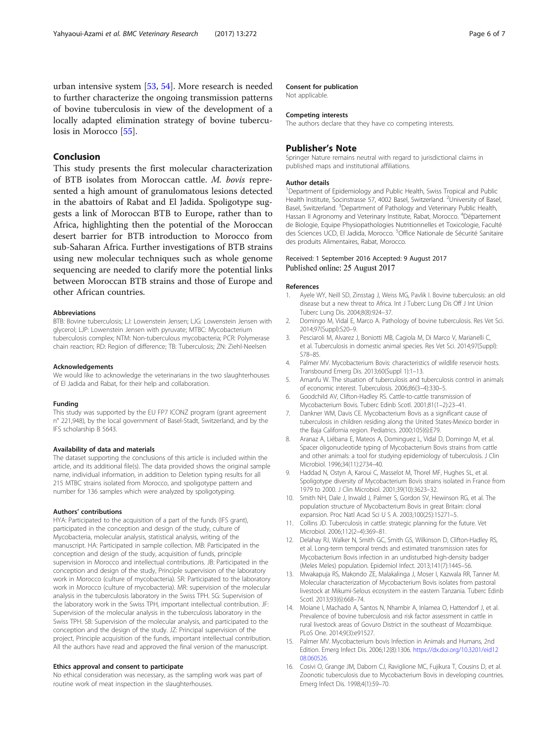<span id="page-5-0"></span>urban intensive system [[53,](#page-6-0) [54](#page-6-0)]. More research is needed to further characterize the ongoing transmission patterns of bovine tuberculosis in view of the development of a locally adapted elimination strategy of bovine tuberculosis in Morocco [\[55](#page-6-0)].

# Conclusion

This study presents the first molecular characterization of BTB isolates from Moroccan cattle. M. bovis represented a high amount of granulomatous lesions detected in the abattoirs of Rabat and El Jadida. Spoligotype suggests a link of Moroccan BTB to Europe, rather than to Africa, highlighting then the potential of the Moroccan desert barrier for BTB introduction to Morocco from sub-Saharan Africa. Further investigations of BTB strains using new molecular techniques such as whole genome sequencing are needed to clarify more the potential links between Moroccan BTB strains and those of Europe and other African countries.

#### **Abbreviations**

BTB: Bovine tuberculosis; LJ: Lowenstein Jensen; LJG: Lowenstein Jensen with glycerol; LJP: Lowenstein Jensen with pyruvate; MTBC: Mycobacterium tuberculosis complex; NTM: Non-tuberculous mycobacteria; PCR: Polymerase chain reaction; RD: Region of difference; TB: Tuberculosis; ZN: Ziehl-Neelsen

#### Acknowledgements

We would like to acknowledge the veterinarians in the two slaughterhouses of El Jadida and Rabat, for their help and collaboration.

#### Funding

This study was supported by the EU FP7 ICONZ program (grant agreement n° 221,948), by the local government of Basel-Stadt, Switzerland, and by the IFS scholarship B 5643.

#### Availability of data and materials

The dataset supporting the conclusions of this article is included within the article, and its additional file(s). The data provided shows the original sample name, individual information, in addition to Deletion typing results for all 215 MTBC strains isolated from Morocco, and spoligotype pattern and number for 136 samples which were analyzed by spoligotyping.

#### Authors' contributions

HYA: Participated to the acquisition of a part of the funds (IFS grant), participated in the conception and design of the study, culture of Mycobacteria, molecular analysis, statistical analysis, writing of the manuscript. HA: Participated in sample collection. MB: Participated in the conception and design of the study, acquisition of funds, principle supervision in Morocco and intellectual contributions. JB: Participated in the conception and design of the study, Principle supervision of the laboratory work in Morocco (culture of mycobacteria). SR: Participated to the laboratory work in Morocco (culture of mycobacteria). MR: supervision of the molecular analysis in the tuberculosis laboratory in the Swiss TPH. SG: Supervision of the laboratory work in the Swiss TPH, important intellectual contribution. JF: Supervision of the molecular analysis in the tuberculosis laboratory in the Swiss TPH. SB: Supervision of the molecular analysis, and participated to the conception and the design of the study. JZ: Principal supervision of the project, Principle acquisition of the funds, important intellectual contribution. All the authors have read and approved the final version of the manuscript.

#### Ethics approval and consent to participate

No ethical consideration was necessary, as the sampling work was part of routine work of meat inspection in the slaughterhouses.

#### Consent for publication

Not applicable.

#### Competing interests

The authors declare that they have co competing interests.

# Publisher's Note

Springer Nature remains neutral with regard to jurisdictional claims in published maps and institutional affiliations.

#### Author details

<sup>1</sup>Department of Epidemiology and Public Health, Swiss Tropical and Public Health Institute, Socinstrasse 57, 4002 Basel, Switzerland. <sup>2</sup>University of Basel Basel, Switzerland. <sup>3</sup>Department of Pathology and Veterinary Public Health Hassan II Agronomy and Veterinary Institute, Rabat, Morocco. <sup>4</sup>Département de Biologie, Equipe Physiopathologies Nutritionnelles et Toxicologie, Faculté des Sciences UCD, El Jadida, Morocco. <sup>5</sup>Office Nationale de Sécurité Sanitaire des produits Alimentaires, Rabat, Morocco.

## Received: 1 September 2016 Accepted: 9 August 2017 Published online: 25 August 2017

#### References

- 1. Ayele WY, Neill SD, Zinsstag J, Weiss MG, Pavlik I. Bovine tuberculosis: an old disease but a new threat to Africa. Int J Tuberc Lung Dis Off J Int Union Tuberc Lung Dis. 2004;8(8):924–37.
- 2. Domingo M, Vidal E, Marco A. Pathology of bovine tuberculosis. Res Vet Sci. 2014;97(Suppl):S20–9.
- 3. Pesciaroli M, Alvarez J, Boniotti MB, Cagiola M, Di Marco V, Marianelli C, et al. Tuberculosis in domestic animal species. Res Vet Sci. 2014;97(Suppl): S78–85.
- 4. Palmer MV. Mycobacterium Bovis: characteristics of wildlife reservoir hosts. Transbound Emerg Dis. 2013;60(Suppl 1):1–13.
- 5. Amanfu W. The situation of tuberculosis and tuberculosis control in animals of economic interest. Tuberculosis. 2006;86(3–4):330–5.
- 6. Goodchild AV, Clifton-Hadley RS. Cattle-to-cattle transmission of Mycobacterium Bovis. Tuberc Edinb Scotl. 2001;81(1–2):23–41.
- 7. Dankner WM, Davis CE. Mycobacterium Bovis as a significant cause of tuberculosis in children residing along the United States-Mexico border in the Baja California region. Pediatrics. 2000;105(6):E79.
- 8. Aranaz A, Liébana E, Mateos A, Dominguez L, Vidal D, Domingo M, et al. Spacer oligonucleotide typing of Mycobacterium Bovis strains from cattle and other animals: a tool for studying epidemiology of tuberculosis. J Clin Microbiol. 1996;34(11):2734–40.
- 9. Haddad N, Ostyn A, Karoui C, Masselot M, Thorel MF, Hughes SL, et al. Spoligotype diversity of Mycobacterium Bovis strains isolated in France from 1979 to 2000. J Clin Microbiol. 2001;39(10):3623–32.
- 10. Smith NH, Dale J, Inwald J, Palmer S, Gordon SV, Hewinson RG, et al. The population structure of Mycobacterium Bovis in great Britain: clonal expansion. Proc Natl Acad Sci U S A. 2003;100(25):15271–5.
- 11. Collins JD. Tuberculosis in cattle: strategic planning for the future. Vet Microbiol. 2006;112(2–4):369–81.
- 12. Delahay RJ, Walker N, Smith GC, Smith GS, Wilkinson D, Clifton-Hadley RS, et al. Long-term temporal trends and estimated transmission rates for Mycobacterium Bovis infection in an undisturbed high-density badger (Meles Meles) population. Epidemiol Infect. 2013;141(7):1445–56.
- 13. Mwakapuja RS, Makondo ZE, Malakalinga J, Moser I, Kazwala RR, Tanner M. Molecular characterization of Mycobacterium Bovis isolates from pastoral livestock at Mikumi-Selous ecosystem in the eastern Tanzania. Tuberc Edinb Scotl. 2013;93(6):668–74.
- 14. Moiane I, Machado A, Santos N, Nhambir A, Inlamea O, Hattendorf J, et al. Prevalence of bovine tuberculosis and risk factor assessment in cattle in rural livestock areas of Govuro District in the southeast of Mozambique. PLoS One. 2014;9(3):e91527.
- 15. Palmer MV. Mycobacterium bovis Infection in Animals and Humans, 2nd Edition. Emerg Infect Dis. 2006;12(8):1306. [https://dx.doi.org/10.3201/eid12](https://dx.doi.org/10.3201/eid1208.060526) [08.060526](https://dx.doi.org/10.3201/eid1208.060526).
- 16. Cosivi O, Grange JM, Daborn CJ, Raviglione MC, Fujikura T, Cousins D, et al. Zoonotic tuberculosis due to Mycobacterium Bovis in developing countries. Emerg Infect Dis. 1998;4(1):59–70.